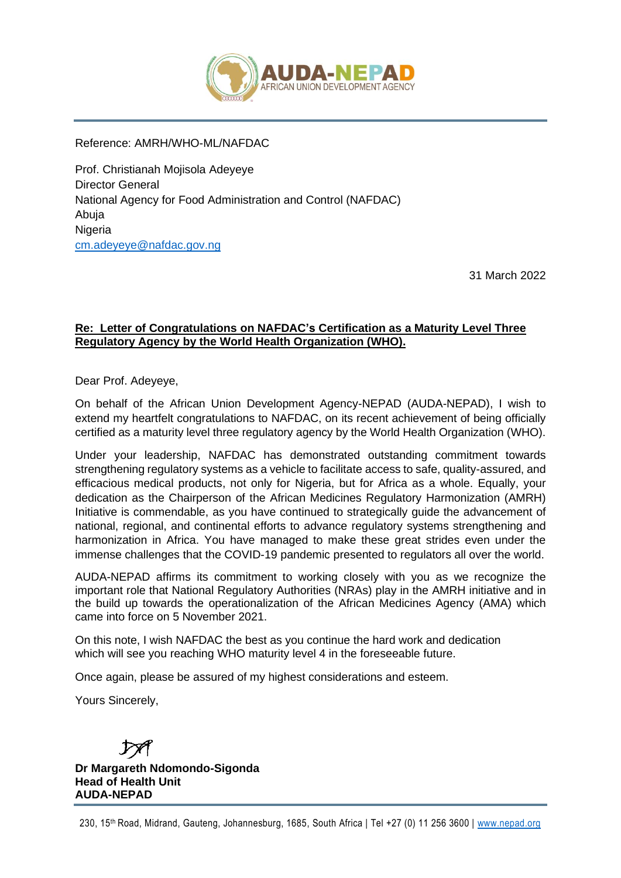

Reference: AMRH/WHO-ML/NAFDAC

Prof. Christianah Mojisola Adeyeye Director General National Agency for Food Administration and Control (NAFDAC) Abuja **Nigeria** [cm.adeyeye@nafdac.gov.ng](mailto:cm.adeyeye@nafdac.gov.ng)

31 March 2022

## **Re: Letter of Congratulations on NAFDAC's Certification as a Maturity Level Three Regulatory Agency by the World Health Organization (WHO).**

Dear Prof. Adeyeye,

On behalf of the African Union Development Agency-NEPAD (AUDA-NEPAD), I wish to extend my heartfelt congratulations to NAFDAC, on its recent achievement of being officially certified as a maturity level three regulatory agency by the World Health Organization (WHO).

Under your leadership, NAFDAC has demonstrated outstanding commitment towards strengthening regulatory systems as a vehicle to facilitate access to safe, quality-assured, and efficacious medical products, not only for Nigeria, but for Africa as a whole. Equally, your dedication as the Chairperson of the African Medicines Regulatory Harmonization (AMRH) Initiative is commendable, as you have continued to strategically guide the advancement of national, regional, and continental efforts to advance regulatory systems strengthening and harmonization in Africa. You have managed to make these great strides even under the immense challenges that the COVID-19 pandemic presented to regulators all over the world.

AUDA-NEPAD affirms its commitment to working closely with you as we recognize the important role that National Regulatory Authorities (NRAs) play in the AMRH initiative and in the build up towards the operationalization of the African Medicines Agency (AMA) which came into force on 5 November 2021.

On this note, I wish NAFDAC the best as you continue the hard work and dedication which will see you reaching WHO maturity level 4 in the foreseeable future.

Once again, please be assured of my highest considerations and esteem.

Yours Sincerely,

**Dr Margareth Ndomondo-Sigonda Head of Health Unit AUDA-NEPAD**